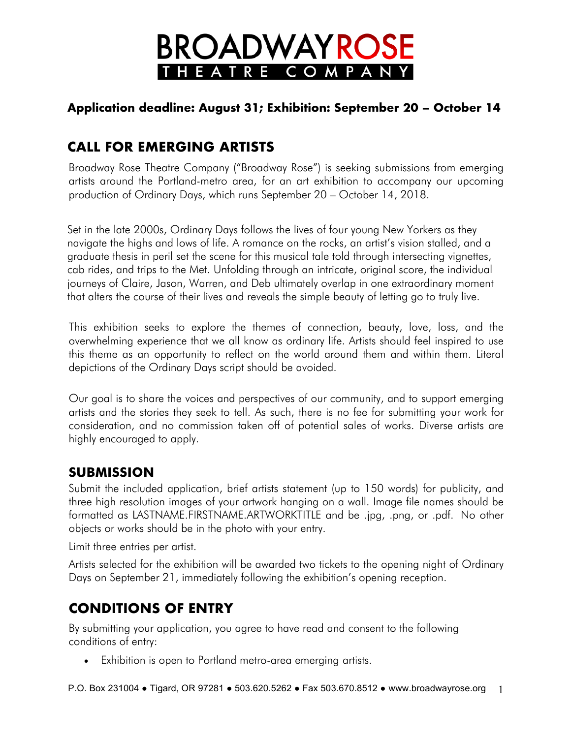# **BROADWAYROSE** HEATRE COMPANY

### **Application deadline: August 31; Exhibition: September 20 – October 14**

## **CALL FOR EMERGING ARTISTS**

Broadway Rose Theatre Company ("Broadway Rose") is seeking submissions from emerging artists around the Portland-metro area, for an art exhibition to accompany our upcoming production of Ordinary Days, which runs September 20 – October 14, 2018.

Set in the late 2000s, Ordinary Days follows the lives of four young New Yorkers as they navigate the highs and lows of life. A romance on the rocks, an artist's vision stalled, and a graduate thesis in peril set the scene for this musical tale told through intersecting vignettes, cab rides, and trips to the Met. Unfolding through an intricate, original score, the individual journeys of Claire, Jason, Warren, and Deb ultimately overlap in one extraordinary moment that alters the course of their lives and reveals the simple beauty of letting go to truly live.

This exhibition seeks to explore the themes of connection, beauty, love, loss, and the overwhelming experience that we all know as ordinary life. Artists should feel inspired to use this theme as an opportunity to reflect on the world around them and within them. Literal depictions of the Ordinary Days script should be avoided.

Our goal is to share the voices and perspectives of our community, and to support emerging artists and the stories they seek to tell. As such, there is no fee for submitting your work for consideration, and no commission taken off of potential sales of works. Diverse artists are highly encouraged to apply.

### **SUBMISSION**

Submit the included application, brief artists statement (up to 150 words) for publicity, and three high resolution images of your artwork hanging on a wall. Image file names should be formatted as LASTNAME.FIRSTNAME.ARTWORKTITLE and be .jpg, .png, or .pdf. No other objects or works should be in the photo with your entry.

Limit three entries per artist.

Artists selected for the exhibition will be awarded two tickets to the opening night of Ordinary Days on September 21, immediately following the exhibition's opening reception.

### **CONDITIONS OF ENTRY**

By submitting your application, you agree to have read and consent to the following conditions of entry:

• Exhibition is open to Portland metro-area emerging artists.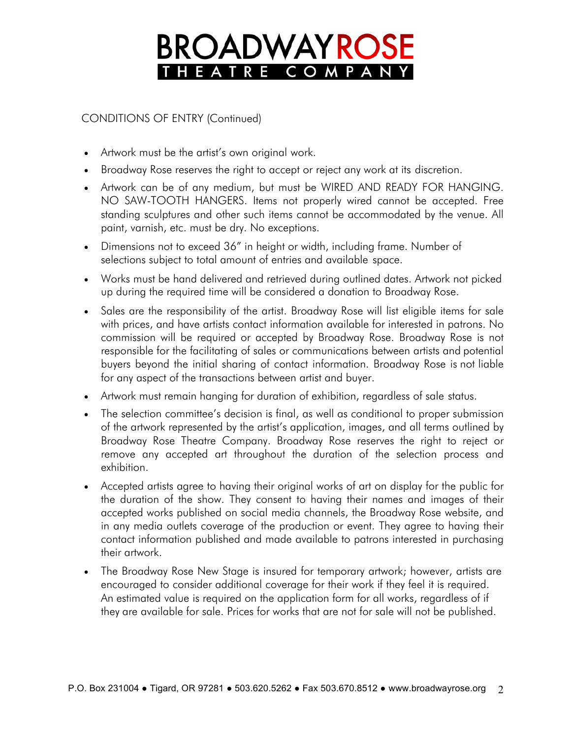## **BROADWAYROS** HEATRE COMPAN

CONDITIONS OF ENTRY (Continued)

- Artwork must be the artist's own original work.
- Broadway Rose reserves the right to accept or reject any work at its discretion.
- Artwork can be of any medium, but must be WIRED AND READY FOR HANGING. NO SAW-TOOTH HANGERS. Items not properly wired cannot be accepted. Free standing sculptures and other such items cannot be accommodated by the venue. All paint, varnish, etc. must be dry. No exceptions.
- Dimensions not to exceed 36" in height or width, including frame. Number of selections subject to total amount of entries and available space.
- Works must be hand delivered and retrieved during outlined dates. Artwork not picked up during the required time will be considered a donation to Broadway Rose.
- Sales are the responsibility of the artist. Broadway Rose will list eligible items for sale with prices, and have artists contact information available for interested in patrons. No commission will be required or accepted by Broadway Rose. Broadway Rose is not responsible for the facilitating of sales or communications between artists and potential buyers beyond the initial sharing of contact information. Broadway Rose is not liable for any aspect of the transactions between artist and buyer.
- Artwork must remain hanging for duration of exhibition, regardless of sale status.
- The selection committee's decision is final, as well as conditional to proper submission of the artwork represented by the artist's application, images, and all terms outlined by Broadway Rose Theatre Company. Broadway Rose reserves the right to reject or remove any accepted art throughout the duration of the selection process and exhibition.
- Accepted artists agree to having their original works of art on display for the public for the duration of the show. They consent to having their names and images of their accepted works published on social media channels, the Broadway Rose website, and in any media outlets coverage of the production or event. They agree to having their contact information published and made available to patrons interested in purchasing their artwork.
- The Broadway Rose New Stage is insured for temporary artwork; however, artists are encouraged to consider additional coverage for their work if they feel it is required. An estimated value is required on the application form for all works, regardless of if they are available for sale. Prices for works that are not for sale will not be published.